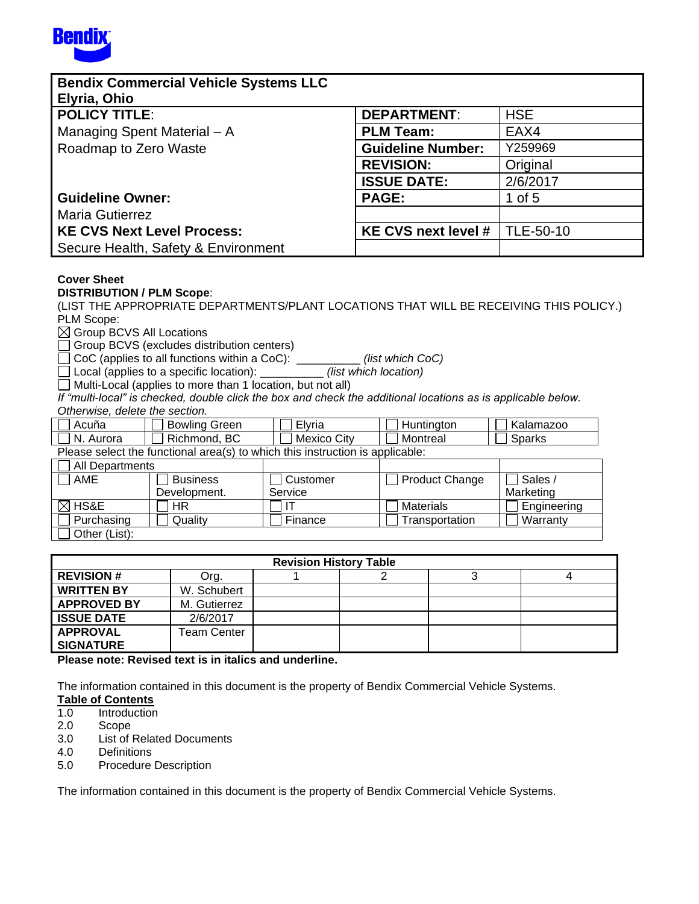

| <b>Bendix Commercial Vehicle Systems LLC</b> |                          |            |
|----------------------------------------------|--------------------------|------------|
| Elyria, Ohio                                 |                          |            |
| <b>POLICY TITLE:</b>                         | <b>DEPARTMENT:</b>       | <b>HSE</b> |
| Managing Spent Material - A                  | <b>PLM Team:</b>         | EAX4       |
| Roadmap to Zero Waste                        | <b>Guideline Number:</b> | Y259969    |
|                                              | <b>REVISION:</b>         | Original   |
|                                              | <b>ISSUE DATE:</b>       | 2/6/2017   |
| <b>Guideline Owner:</b>                      | <b>PAGE:</b>             | 1 of $5$   |
| <b>Maria Gutierrez</b>                       |                          |            |
| <b>KE CVS Next Level Process:</b>            | KE CVS next level #      | TLE-50-10  |
| Secure Health, Safety & Environment          |                          |            |

## **Cover Sheet**

## **DISTRIBUTION / PLM Scope**:

(LIST THE APPROPRIATE DEPARTMENTS/PLANT LOCATIONS THAT WILL BE RECEIVING THIS POLICY.) PLM Scope:

 $\boxtimes$  Group BCVS All Locations

Group BCVS (excludes distribution centers)

CoC (applies to all functions within a CoC): \_\_\_\_\_\_\_\_\_\_ *(list which CoC)*

Local (applies to a specific location): \_\_\_\_\_\_\_\_\_\_ *(list which location)*

 $\Box$  Multi-Local (applies to more than 1 location, but not all)

If "multi-local" is checked, double click the box and check the additional locations as is applicable below. *Otherwise, delete the section.* 

| Acuna                                                                         | Green<br>Bowling | - -<br>Elvria  | Huntınaton | Kalamazoo |  |  |  |
|-------------------------------------------------------------------------------|------------------|----------------|------------|-----------|--|--|--|
| N<br>Aurora                                                                   | BC<br>Richmonc   | City<br>Mexico | Montreal   | harks:    |  |  |  |
| Plasse select the functional area(s) to which this instruction is applicable. |                  |                |            |           |  |  |  |

Please select the functional area(s) to which this instruction is applicable:

| All Departments  |                 |          |                       |             |
|------------------|-----------------|----------|-----------------------|-------------|
| <b>AME</b>       | <b>Business</b> | Customer | <b>Product Change</b> | Sales /     |
|                  | Development.    | Service  |                       | Marketing   |
| $\boxtimes$ HS&E | ΗR              |          | Materials             | Engineering |
| Purchasing       | Quality         | Finance  | Transportation        | Warranty    |
| Other (List):    |                 |          |                       |             |

| <b>Revision History Table</b> |              |  |  |  |  |  |  |
|-------------------------------|--------------|--|--|--|--|--|--|
| <b>REVISION #</b>             | Org.         |  |  |  |  |  |  |
| <b>WRITTEN BY</b>             | W. Schubert  |  |  |  |  |  |  |
| <b>APPROVED BY</b>            | M. Gutierrez |  |  |  |  |  |  |
| <b>ISSUE DATE</b>             | 2/6/2017     |  |  |  |  |  |  |
| <b>APPROVAL</b>               | Team Center  |  |  |  |  |  |  |
| <b>SIGNATURE</b>              |              |  |  |  |  |  |  |

**Please note: Revised text is in italics and underline.**

The information contained in this document is the property of Bendix Commercial Vehicle Systems.

## **Table of Contents**

- 1.0 Introduction
- 2.0 Scope
- 3.0 List of Related Documents
- 4.0 Definitions
- 5.0 Procedure Description

The information contained in this document is the property of Bendix Commercial Vehicle Systems.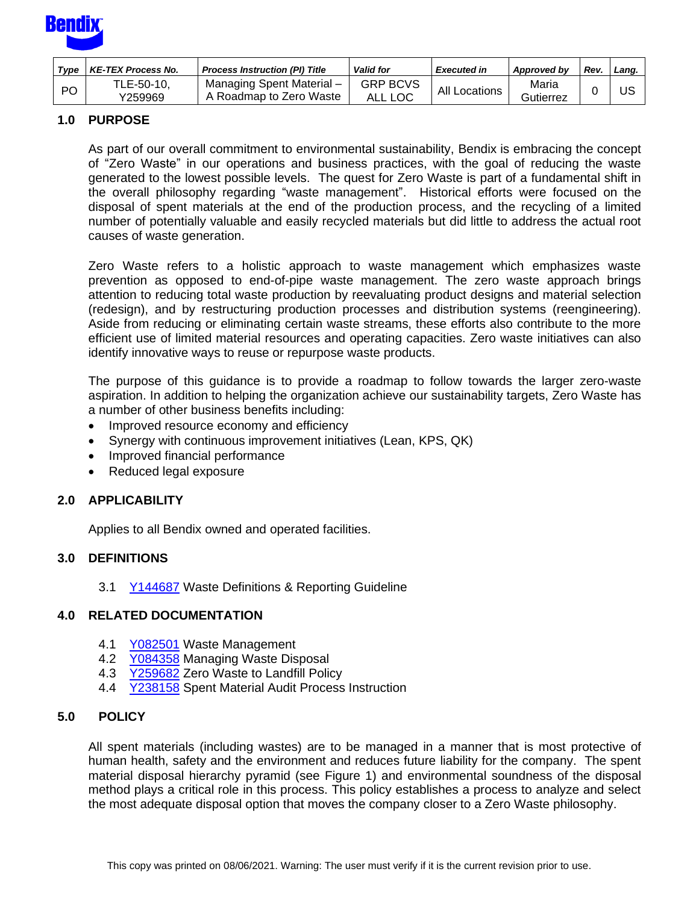

| Type      | <b>KE-TEX Process No.</b> | <b>Process Instruction (PI) Title</b>               | <b>Valid for</b>           | <b>Executed in</b> | Approved by        | Rev | Land. |
|-----------|---------------------------|-----------------------------------------------------|----------------------------|--------------------|--------------------|-----|-------|
| <b>PO</b> | TLE-50-10,<br>Y259969     | Managing Spent Material-<br>A Roadmap to Zero Waste | <b>GRP BCVS</b><br>ALL LOC | All Locations      | Maria<br>Gutierrez |     | US    |

# **1.0 PURPOSE**

As part of our overall commitment to environmental sustainability, Bendix is embracing the concept of "Zero Waste" in our operations and business practices, with the goal of reducing the waste generated to the lowest possible levels. The quest for Zero Waste is part of a fundamental shift in the overall philosophy regarding "waste management". Historical efforts were focused on the disposal of spent materials at the end of the production process, and the recycling of a limited number of potentially valuable and easily recycled materials but did little to address the actual root causes of waste generation.

Zero Waste refers to a holistic approach to waste management which emphasizes waste prevention as opposed to end-of-pipe waste management. The zero waste approach brings attention to reducing total waste production by reevaluating product designs and material selection (redesign), and by restructuring production processes and distribution systems (reengineering). Aside from reducing or eliminating certain waste streams, these efforts also contribute to the more efficient use of limited material resources and operating capacities. Zero waste initiatives can also identify innovative ways to reuse or repurpose waste products.

The purpose of this guidance is to provide a roadmap to follow towards the larger zero-waste aspiration. In addition to helping the organization achieve our sustainability targets, Zero Waste has a number of other business benefits including:

- Improved resource economy and efficiency
- Synergy with continuous improvement initiatives (Lean, KPS, QK)
- Improved financial performance
- Reduced legal exposure

#### **2.0 APPLICABILITY**

Applies to all Bendix owned and operated facilities.

#### **3.0 DEFINITIONS**

3.1 [Y144687](http://a2wls.grp.knorr-bremse.com:3131/GetCVSPLMProcDoc.htm?id=Y144687&language=US) Waste Definitions & Reporting Guideline

#### **4.0 RELATED DOCUMENTATION**

- 4.1 [Y082501](http://a2wls.grp.knorr-bremse.com:3131/GetCVSPLMProcDoc.htm?id=Y082501&language=US) Waste Management
- 4.2 [Y084358](http://a2wls.grp.knorr-bremse.com:3131/GetCVSPLMProcDoc.htm?id=Y084358&language=US) Managing Waste Disposal
- 4.3 [Y259682](http://a2wls.grp.knorr-bremse.com:3131/GetCVSPLMProcDoc.htm?id=Y259682&language=US) Zero Waste to Landfill Policy
- 4.4 [Y238158](http://a2wls.grp.knorr-bremse.com:3131/GetCVSPLMProcDoc.htm?id=Y238158&language=US) Spent Material Audit Process Instruction

# **5.0 POLICY**

All spent materials (including wastes) are to be managed in a manner that is most protective of human health, safety and the environment and reduces future liability for the company. The spent material disposal hierarchy pyramid (see Figure 1) and environmental soundness of the disposal method plays a critical role in this process. This policy establishes a process to analyze and select the most adequate disposal option that moves the company closer to a Zero Waste philosophy.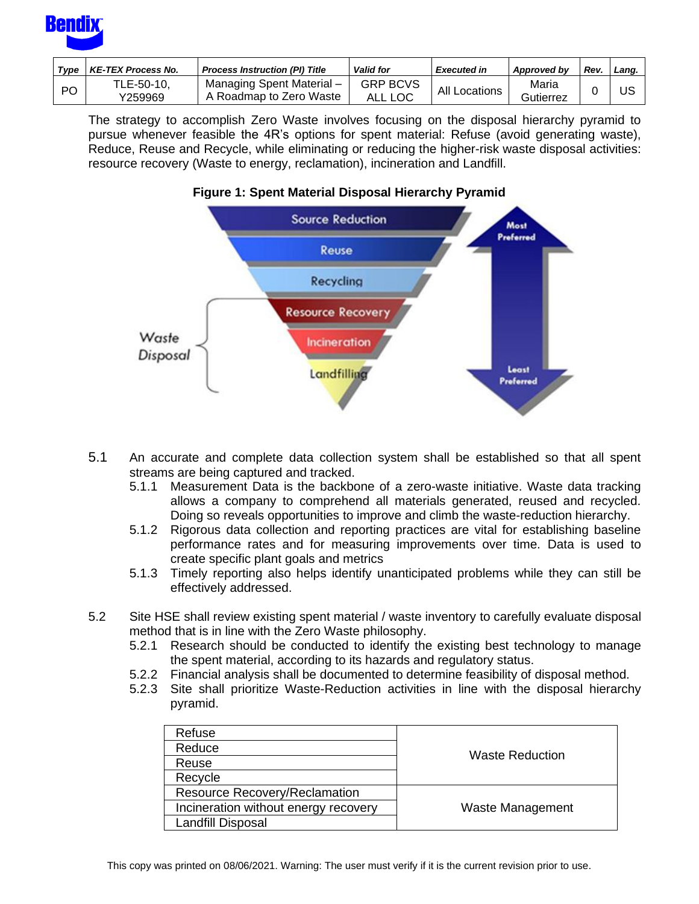

| Tvpe | <b>KE-TEX Process No.</b> | <b>Process Instruction (PI) Title</b>                | <b>Valid for</b>                | <b>Executed in</b> | Approved by        | Rev | Lang. |
|------|---------------------------|------------------------------------------------------|---------------------------------|--------------------|--------------------|-----|-------|
| PO   | TLE-50-10,<br>1259969     | Managing Spent Material -<br>A Roadmap to Zero Waste | <b>GRP BCVS</b><br>LOC<br>ALL . | All<br>Locations   | Maria<br>Gutierrez |     | US    |

The strategy to accomplish Zero Waste involves focusing on the disposal hierarchy pyramid to pursue whenever feasible the 4R's options for spent material: Refuse (avoid generating waste), Reduce, Reuse and Recycle, while eliminating or reducing the higher-risk waste disposal activities: resource recovery (Waste to energy, reclamation), incineration and Landfill.





- 5.1 An accurate and complete data collection system shall be established so that all spent streams are being captured and tracked.
	- 5.1.1 Measurement Data is the backbone of a zero-waste initiative. Waste data tracking allows a company to comprehend all materials generated, reused and recycled. Doing so reveals opportunities to improve and climb the waste-reduction hierarchy.
	- 5.1.2 Rigorous data collection and reporting practices are vital for establishing baseline performance rates and for measuring improvements over time. Data is used to create specific plant goals and metrics
	- 5.1.3 Timely reporting also helps identify unanticipated problems while they can still be effectively addressed.
- 5.2 Site HSE shall review existing spent material / waste inventory to carefully evaluate disposal method that is in line with the Zero Waste philosophy.
	- 5.2.1 Research should be conducted to identify the existing best technology to manage the spent material, according to its hazards and regulatory status.
	- 5.2.2 Financial analysis shall be documented to determine feasibility of disposal method.
	- 5.2.3 Site shall prioritize Waste-Reduction activities in line with the disposal hierarchy pyramid.

| Refuse                               |                        |
|--------------------------------------|------------------------|
| Reduce                               | <b>Waste Reduction</b> |
| Reuse                                |                        |
| Recycle                              |                        |
| <b>Resource Recovery/Reclamation</b> |                        |
| Incineration without energy recovery | Waste Management       |
| Landfill Disposal                    |                        |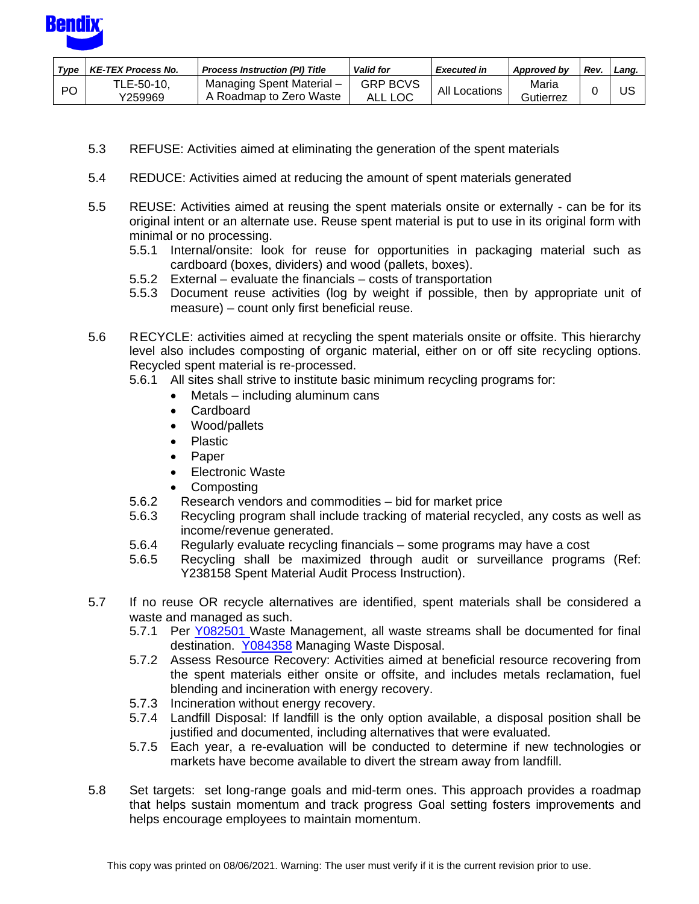

| Tvpe      | <b>KE-TEX Process No.</b> | <b>Process Instruction (PI) Title</b>                | <b>Valid for</b>           | <b>Executed in</b> | Approved by        | Rev | Land. |
|-----------|---------------------------|------------------------------------------------------|----------------------------|--------------------|--------------------|-----|-------|
| <b>PO</b> | TLE-50-10.<br>Y259969     | Managing Spent Material -<br>A Roadmap to Zero Waste | <b>GRP BCVS</b><br>ALL LOC | All Locations      | Maria<br>Gutierrez |     | บร    |

- 5.3 REFUSE: Activities aimed at eliminating the generation of the spent materials
- 5.4 REDUCE: Activities aimed at reducing the amount of spent materials generated
- 5.5 REUSE: Activities aimed at reusing the spent materials onsite or externally can be for its original intent or an alternate use. Reuse spent material is put to use in its original form with minimal or no processing.
	- 5.5.1 Internal/onsite: look for reuse for opportunities in packaging material such as cardboard (boxes, dividers) and wood (pallets, boxes).
	- 5.5.2 External evaluate the financials costs of transportation
	- 5.5.3 Document reuse activities (log by weight if possible, then by appropriate unit of measure) – count only first beneficial reuse.
- 5.6 RECYCLE: activities aimed at recycling the spent materials onsite or offsite. This hierarchy level also includes composting of organic material, either on or off site recycling options. Recycled spent material is re-processed.
	- 5.6.1 All sites shall strive to institute basic minimum recycling programs for:
		- $Metals including aluminum cans$
		- Cardboard
		- Wood/pallets
		- Plastic
		- Paper
		- Electronic Waste
		- Composting
	- 5.6.2 Research vendors and commodities bid for market price
	- 5.6.3 Recycling program shall include tracking of material recycled, any costs as well as income/revenue generated.
	- 5.6.4 Regularly evaluate recycling financials some programs may have a cost
	- 5.6.5 Recycling shall be maximized through audit or surveillance programs (Ref: Y238158 Spent Material Audit Process Instruction).
- 5.7 If no reuse OR recycle alternatives are identified, spent materials shall be considered a waste and managed as such.
	- 5.7.1 Per [Y082501](http://a2wls.grp.knorr-bremse.com:3131/GetCVSPLMProcDoc.htm?id=Y082501&language=US) Waste Management, all waste streams shall be documented for final destination. [Y084358](http://a2wls.grp.knorr-bremse.com:3131/GetCVSPLMProcDoc.htm?id=Y084358&language=US) Managing Waste Disposal.
	- 5.7.2 Assess Resource Recovery: Activities aimed at beneficial resource recovering from the spent materials either onsite or offsite, and includes metals reclamation, fuel blending and incineration with energy recovery.
	- 5.7.3 Incineration without energy recovery.
	- 5.7.4 Landfill Disposal: If landfill is the only option available, a disposal position shall be justified and documented, including alternatives that were evaluated.
	- 5.7.5 Each year, a re-evaluation will be conducted to determine if new technologies or markets have become available to divert the stream away from landfill.
- 5.8 Set targets: set long-range goals and mid-term ones. This approach provides a roadmap that helps sustain momentum and track progress Goal setting fosters improvements and helps encourage employees to maintain momentum.